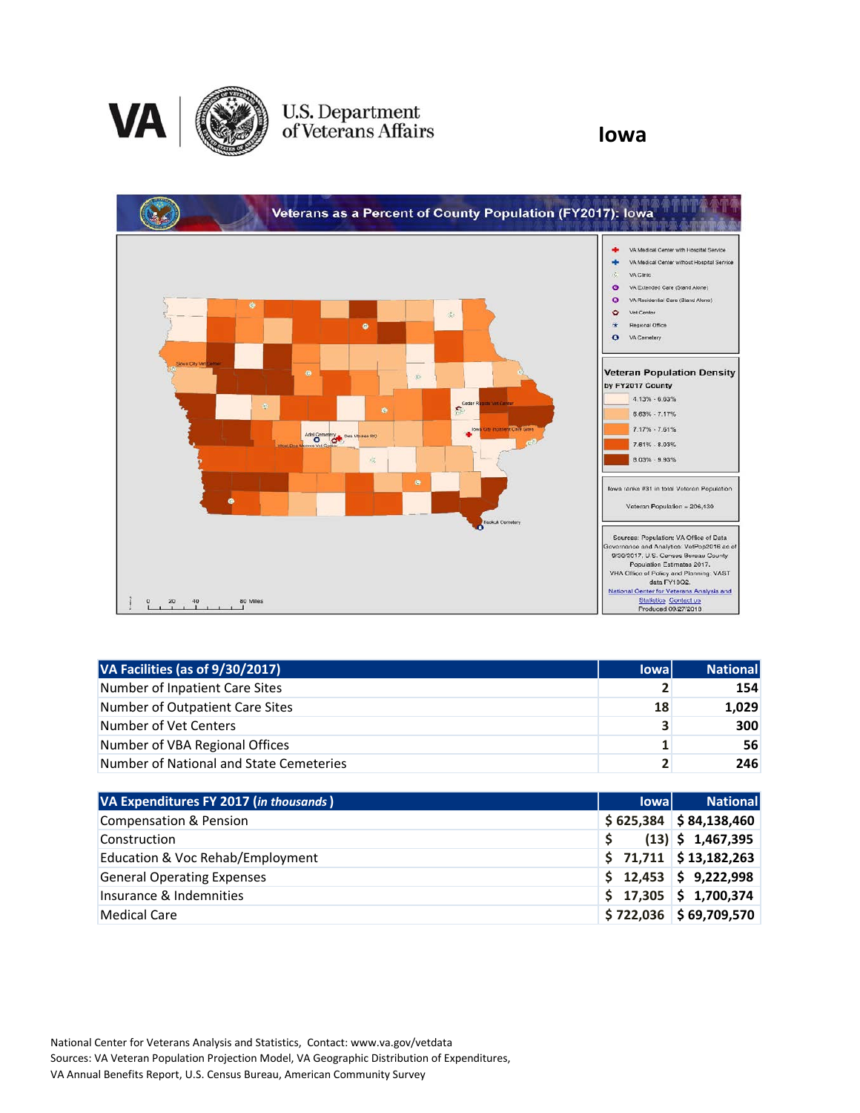

## U.S. Department<br>of Veterans Affairs

**Iowa**



| VA Facilities (as of 9/30/2017)         | <b>lowal</b>   | National |
|-----------------------------------------|----------------|----------|
| Number of Inpatient Care Sites          | 2              | 154      |
| Number of Outpatient Care Sites         | 18             | 1,029    |
| Number of Vet Centers                   | 3              | 300      |
| Number of VBA Regional Offices          | 1              | 56       |
| Number of National and State Cemeteries | $\overline{2}$ | 246      |

| VA Expenditures FY 2017 (in thousands) | <b>lowal</b> | <b>National</b>          |
|----------------------------------------|--------------|--------------------------|
| Compensation & Pension                 |              | $$625,384$ $$84,138,460$ |
| Construction                           |              | $(13)$ \$ 1,467,395      |
| Education & Voc Rehab/Employment       |              | $$71,711$ $$13,182,263$  |
| <b>General Operating Expenses</b>      |              | $$12,453$ $$9,222,998$   |
| Insurance & Indemnities                |              | $$17,305$ $$1,700,374$   |
| Medical Care                           |              | $$722,036$ $$69,709,570$ |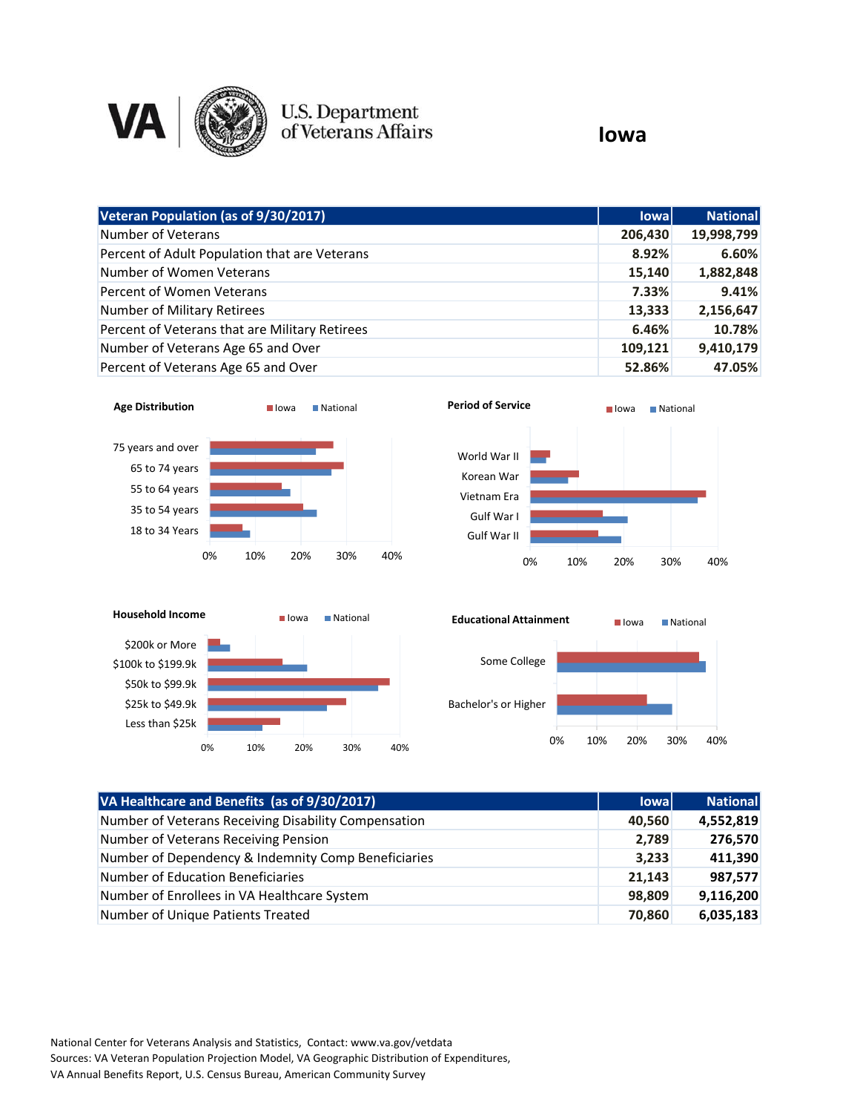

## U.S. Department<br>of Veterans Affairs

## **Iowa**

| Veteran Population (as of 9/30/2017)           | <b>lowal</b> | <b>National</b> |
|------------------------------------------------|--------------|-----------------|
| Number of Veterans                             | 206,430      | 19,998,799      |
| Percent of Adult Population that are Veterans  | 8.92%        | 6.60%           |
| Number of Women Veterans                       | 15,140       | 1,882,848       |
| Percent of Women Veterans                      | 7.33%        | 9.41%           |
| Number of Military Retirees                    | 13,333       | 2,156,647       |
| Percent of Veterans that are Military Retirees | 6.46%        | 10.78%          |
| Number of Veterans Age 65 and Over             | 109,121      | 9,410,179       |
| Percent of Veterans Age 65 and Over            | 52.86%       | 47.05%          |







| VA Healthcare and Benefits (as of 9/30/2017)         | <b>lowal</b> | <b>National</b> |
|------------------------------------------------------|--------------|-----------------|
| Number of Veterans Receiving Disability Compensation | 40,560       | 4,552,819       |
| Number of Veterans Receiving Pension                 | 2,789        | 276,570         |
| Number of Dependency & Indemnity Comp Beneficiaries  | 3,233        | 411,390         |
| Number of Education Beneficiaries                    | 21,143       | 987,577         |
| Number of Enrollees in VA Healthcare System          | 98,809       | 9,116,200       |
| Number of Unique Patients Treated                    | 70,860       | 6,035,183       |